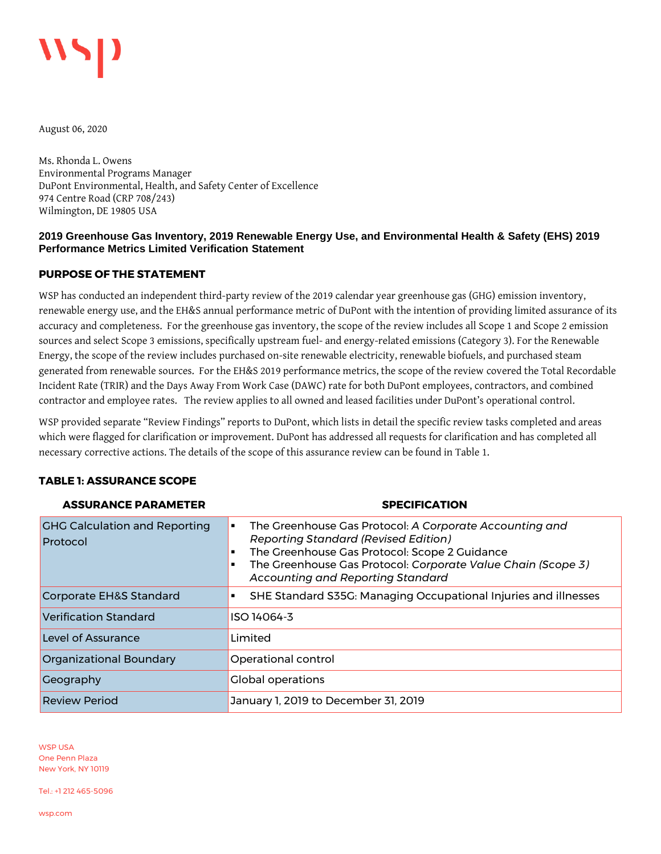

August 06, 2020

Ms. Rhonda L. Owens Environmental Programs Manager DuPont Environmental, Health, and Safety Center of Excellence 974 Centre Road (CRP 708/243) Wilmington, DE 19805 USA

## **2019 Greenhouse Gas Inventory, 2019 Renewable Energy Use, and Environmental Health & Safety (EHS) 2019 Performance Metrics Limited Verification Statement**

## **PURPOSE OF THE STATEMENT**

WSP has conducted an independent third-party review of the 2019 calendar year greenhouse gas (GHG) emission inventory, renewable energy use, and the EH&S annual performance metric of DuPont with the intention of providing limited assurance of its accuracy and completeness. For the greenhouse gas inventory, the scope of the review includes all Scope 1 and Scope 2 emission sources and select Scope 3 emissions, specifically upstream fuel- and energy-related emissions (Category 3). For the Renewable Energy, the scope of the review includes purchased on-site renewable electricity, renewable biofuels, and purchased steam generated from renewable sources. For the EH&S 2019 performance metrics, the scope of the review covered the Total Recordable Incident Rate (TRIR) and the Days Away From Work Case (DAWC) rate for both DuPont employees, contractors, and combined contractor and employee rates. The review applies to all owned and leased facilities under DuPont's operational control.

WSP provided separate "Review Findings" reports to DuPont, which lists in detail the specific review tasks completed and areas which were flagged for clarification or improvement. DuPont has addressed all requests for clarification and has completed all necessary corrective actions. The details of the scope of this assurance review can be found in [Table 1.](#page-0-0) 

#### <span id="page-0-0"></span>**TABLE 1: ASSURANCE SCOPE**

| <b>ASSURANCE PARAMETER</b>                       | <b>SPECIFICATION</b>                                                                                                                                                                                                                                                                  |  |
|--------------------------------------------------|---------------------------------------------------------------------------------------------------------------------------------------------------------------------------------------------------------------------------------------------------------------------------------------|--|
| <b>CHC Calculation and Reporting</b><br>Protocol | The Greenhouse Gas Protocol: A Corporate Accounting and<br>$\blacksquare$<br><b>Reporting Standard (Revised Edition)</b><br>The Greenhouse Gas Protocol: Scope 2 Guidance<br>The Greenhouse Gas Protocol: Corporate Value Chain (Scope 3)<br><b>Accounting and Reporting Standard</b> |  |
| Corporate EH&S Standard                          | SHE Standard S35G: Managing Occupational Injuries and illnesses<br>٠                                                                                                                                                                                                                  |  |
| Verification Standard                            | ISO 14064-3                                                                                                                                                                                                                                                                           |  |
| Level of Assurance                               | Limited                                                                                                                                                                                                                                                                               |  |
| Organizational Boundary                          | Operational control                                                                                                                                                                                                                                                                   |  |
| Ceography                                        | <b>Global operations</b>                                                                                                                                                                                                                                                              |  |
| <b>Review Period</b>                             | January 1, 2019 to December 31, 2019                                                                                                                                                                                                                                                  |  |

WSP USA One Penn Plaza New York, NY 10119

Tel.: +1 212 465-5096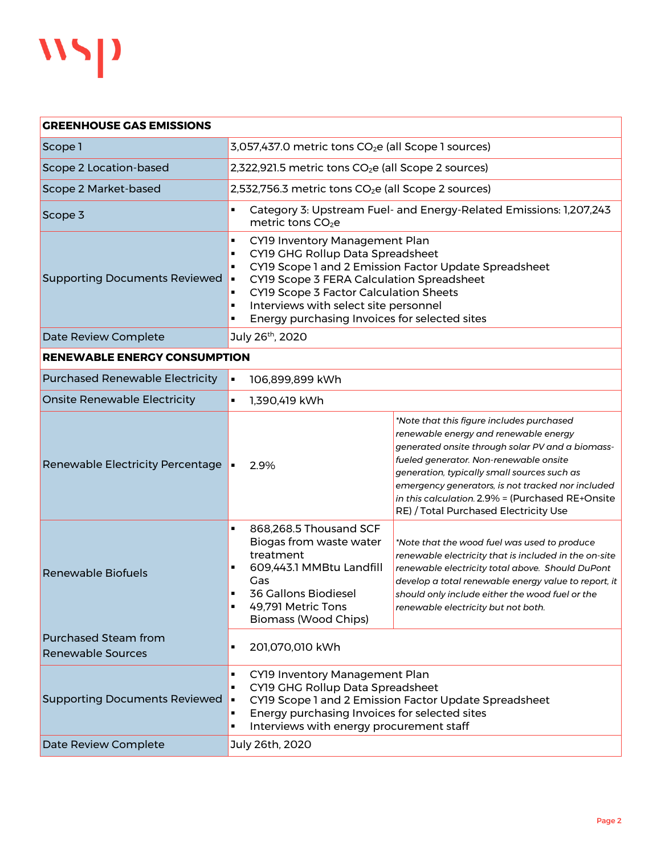

| <b>GREENHOUSE GAS EMISSIONS</b>                         |                                                                                                                                                                                                                                                                                                                                                              |                                                                                                                                                                                                                                                                                                                                                                                   |  |
|---------------------------------------------------------|--------------------------------------------------------------------------------------------------------------------------------------------------------------------------------------------------------------------------------------------------------------------------------------------------------------------------------------------------------------|-----------------------------------------------------------------------------------------------------------------------------------------------------------------------------------------------------------------------------------------------------------------------------------------------------------------------------------------------------------------------------------|--|
| Scope 1                                                 | 3,057,437.0 metric tons CO <sub>2</sub> e (all Scope 1 sources)                                                                                                                                                                                                                                                                                              |                                                                                                                                                                                                                                                                                                                                                                                   |  |
| Scope 2 Location-based                                  | 2,322,921.5 metric tons CO <sub>2</sub> e (all Scope 2 sources)                                                                                                                                                                                                                                                                                              |                                                                                                                                                                                                                                                                                                                                                                                   |  |
| Scope 2 Market-based                                    | 2,532,756.3 metric tons CO <sub>2</sub> e (all Scope 2 sources)                                                                                                                                                                                                                                                                                              |                                                                                                                                                                                                                                                                                                                                                                                   |  |
| Scope 3                                                 | Category 3: Upstream Fuel- and Energy-Related Emissions: 1,207,243<br>п<br>metric tons $CO2e$                                                                                                                                                                                                                                                                |                                                                                                                                                                                                                                                                                                                                                                                   |  |
| <b>Supporting Documents Reviewed</b>                    | CY19 Inventory Management Plan<br>Ξ<br>CY19 GHG Rollup Data Spreadsheet<br>п<br>CY19 Scope 1 and 2 Emission Factor Update Spreadsheet<br>п<br>CY19 Scope 3 FERA Calculation Spreadsheet<br>$\blacksquare$<br>CY19 Scope 3 Factor Calculation Sheets<br>Ξ<br>Interviews with select site personnel<br>٠<br>Energy purchasing Invoices for selected sites<br>п |                                                                                                                                                                                                                                                                                                                                                                                   |  |
| Date Review Complete                                    | July 26th, 2020                                                                                                                                                                                                                                                                                                                                              |                                                                                                                                                                                                                                                                                                                                                                                   |  |
| <b>RENEWABLE ENERGY CONSUMPTION</b>                     |                                                                                                                                                                                                                                                                                                                                                              |                                                                                                                                                                                                                                                                                                                                                                                   |  |
| <b>Purchased Renewable Electricity</b>                  | $\blacksquare$<br>106,899,899 kWh                                                                                                                                                                                                                                                                                                                            |                                                                                                                                                                                                                                                                                                                                                                                   |  |
| <b>Onsite Renewable Electricity</b>                     | $\blacksquare$<br>1,390,419 kWh                                                                                                                                                                                                                                                                                                                              |                                                                                                                                                                                                                                                                                                                                                                                   |  |
| Renewable Electricity Percentage                        | 2.9%<br>l.                                                                                                                                                                                                                                                                                                                                                   | *Note that this figure includes purchased<br>renewable energy and renewable energy<br>generated onsite through solar PV and a biomass-<br>fueled generator. Non-renewable onsite<br>generation, typically small sources such as<br>emergency generators, is not tracked nor included<br>in this calculation. 2.9% = (Purchased RE+Onsite<br>RE) / Total Purchased Electricity Use |  |
| <b>Renewable Biofuels</b>                               | 868,268.5 Thousand SCF<br>×,<br>Biogas from waste water<br>treatment<br>609,443.1 MMBtu Landfill<br>Gas<br>36 Gallons Biodiesel<br>49,791 Metric Tons<br>Ξ<br><b>Biomass (Wood Chips)</b>                                                                                                                                                                    | *Note that the wood fuel was used to produce<br>renewable electricity that is included in the on-site<br>renewable electricity total above. Should DuPont<br>develop a total renewable energy value to report, it<br>should only include either the wood fuel or the<br>renewable electricity but not both.                                                                       |  |
| <b>Purchased Steam from</b><br><b>Renewable Sources</b> | 201,070,010 kWh<br>٠                                                                                                                                                                                                                                                                                                                                         |                                                                                                                                                                                                                                                                                                                                                                                   |  |
| <b>Supporting Documents Reviewed</b>                    | CY19 Inventory Management Plan<br>п<br>CY19 GHG Rollup Data Spreadsheet<br>п<br>CY19 Scope 1 and 2 Emission Factor Update Spreadsheet<br>$\blacksquare$<br>Energy purchasing Invoices for selected sites<br>٠<br>Interviews with energy procurement staff<br>п                                                                                               |                                                                                                                                                                                                                                                                                                                                                                                   |  |
| Date Review Complete                                    | July 26th, 2020                                                                                                                                                                                                                                                                                                                                              |                                                                                                                                                                                                                                                                                                                                                                                   |  |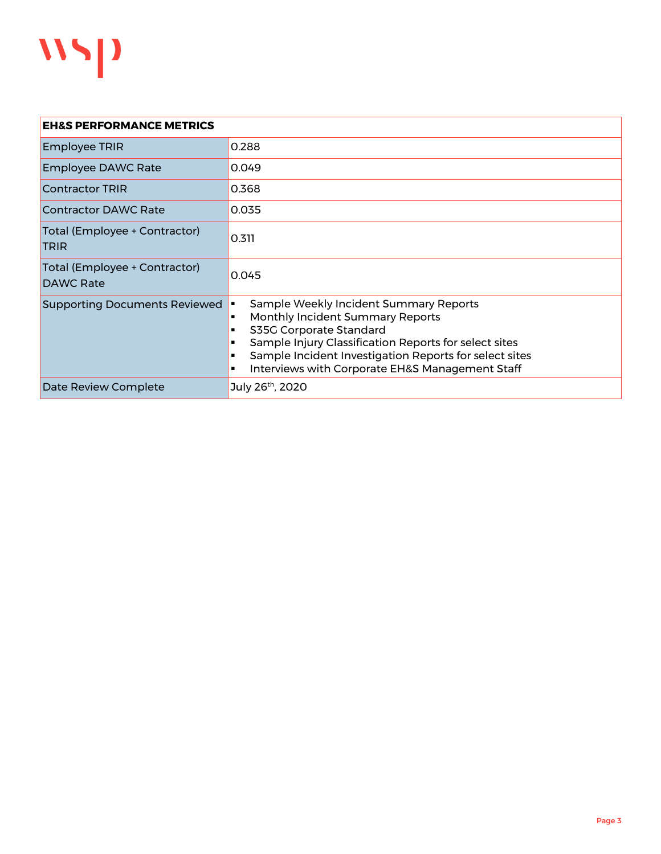

| <b>EH&amp;S PERFORMANCE METRICS</b>          |                                                                                                                                                                                                                                                                             |  |
|----------------------------------------------|-----------------------------------------------------------------------------------------------------------------------------------------------------------------------------------------------------------------------------------------------------------------------------|--|
| <b>Employee TRIR</b>                         | 0.288                                                                                                                                                                                                                                                                       |  |
| <b>Employee DAWC Rate</b>                    | 0.049                                                                                                                                                                                                                                                                       |  |
| <b>Contractor TRIR</b>                       | 0.368                                                                                                                                                                                                                                                                       |  |
| Contractor DAWC Rate                         | 0.035                                                                                                                                                                                                                                                                       |  |
| Total (Employee + Contractor)<br><b>TRIR</b> | 0.311                                                                                                                                                                                                                                                                       |  |
| Total (Employee + Contractor)<br>DAWC Rate   | 0.045                                                                                                                                                                                                                                                                       |  |
| <b>Supporting Documents Reviewed</b>         | Sample Weekly Incident Summary Reports<br>Monthly Incident Summary Reports<br>S35G Corporate Standard<br>Sample Injury Classification Reports for select sites<br>Sample Incident Investigation Reports for select sites<br>Interviews with Corporate EH&S Management Staff |  |
| Date Review Complete                         | July 26 <sup>th</sup> , 2020                                                                                                                                                                                                                                                |  |